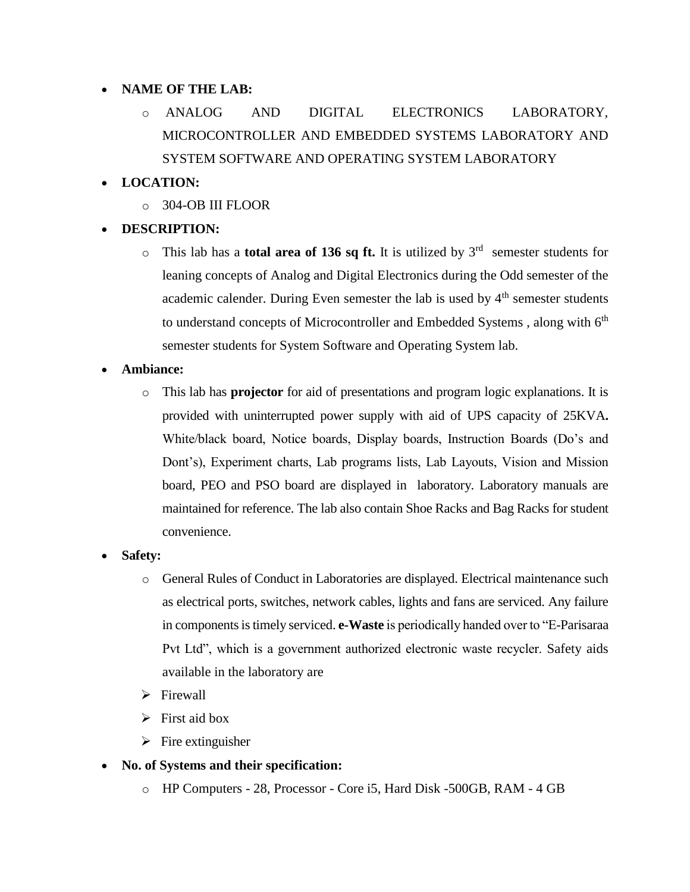## **NAME OF THE LAB:**

- o ANALOG AND DIGITAL ELECTRONICS LABORATORY, MICROCONTROLLER AND EMBEDDED SYSTEMS LABORATORY AND SYSTEM SOFTWARE AND OPERATING SYSTEM LABORATORY
- **LOCATION:** 
	- o 304-OB III FLOOR
- **DESCRIPTION:** 
	- $\circ$  This lab has a **total area of 136 sq ft.** It is utilized by  $3^{rd}$  semester students for leaning concepts of Analog and Digital Electronics during the Odd semester of the academic calender. During Even semester the lab is used by  $4<sup>th</sup>$  semester students to understand concepts of Microcontroller and Embedded Systems, along with 6<sup>th</sup> semester students for System Software and Operating System lab.
- **Ambiance:** 
	- o This lab has **projector** for aid of presentations and program logic explanations. It is provided with uninterrupted power supply with aid of UPS capacity of 25KVA**.**  White/black board, Notice boards, Display boards, Instruction Boards (Do's and Dont's), Experiment charts, Lab programs lists, Lab Layouts, Vision and Mission board, PEO and PSO board are displayed in laboratory. Laboratory manuals are maintained for reference. The lab also contain Shoe Racks and Bag Racks for student convenience.
- **Safety:** 
	- o General Rules of Conduct in Laboratories are displayed. Electrical maintenance such as electrical ports, switches, network cables, lights and fans are serviced. Any failure in components is timely serviced. **e-Waste** is periodically handed over to "E-Parisaraa Pvt Ltd", which is a government authorized electronic waste recycler. Safety aids available in the laboratory are
	- $\triangleright$  Firewall
	- $\triangleright$  First aid box
	- $\triangleright$  Fire extinguisher
- **No. of Systems and their specification:** 
	- o HP Computers 28, Processor Core i5, Hard Disk -500GB, RAM 4 GB